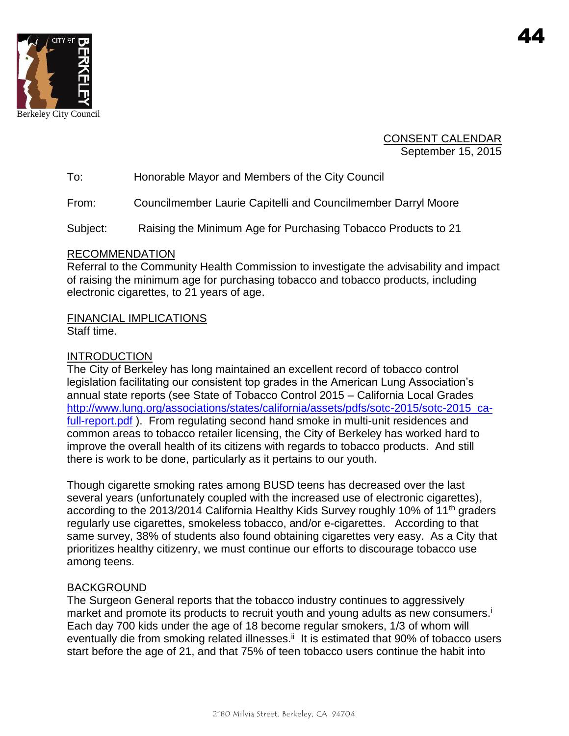

CONSENT CALENDAR September 15, 2015

To: Honorable Mayor and Members of the City Council

From: Councilmember Laurie Capitelli and Councilmember Darryl Moore

Subject: Raising the Minimum Age for Purchasing Tobacco Products to 21

### RECOMMENDATION

Referral to the Community Health Commission to investigate the advisability and impact of raising the minimum age for purchasing tobacco and tobacco products, including electronic cigarettes, to 21 years of age.

FINANCIAL IMPLICATIONS Staff time.

## INTRODUCTION

The City of Berkeley has long maintained an excellent record of tobacco control legislation facilitating our consistent top grades in the American Lung Association's annual state reports (see State of Tobacco Control 2015 – California Local Grades [http://www.lung.org/associations/states/california/assets/pdfs/sotc-2015/sotc-2015\\_ca](http://www.lung.org/associations/states/california/assets/pdfs/sotc-2015/sotc-2015_ca-full-report.pdf)[full-report.pdf](http://www.lung.org/associations/states/california/assets/pdfs/sotc-2015/sotc-2015_ca-full-report.pdf) ). From regulating second hand smoke in multi-unit residences and common areas to tobacco retailer licensing, the City of Berkeley has worked hard to improve the overall health of its citizens with regards to tobacco products. And still there is work to be done, particularly as it pertains to our youth.

Though cigarette smoking rates among BUSD teens has decreased over the last several years (unfortunately coupled with the increased use of electronic cigarettes), according to the 2013/2014 California Healthy Kids Survey roughly 10% of 11<sup>th</sup> graders regularly use cigarettes, smokeless tobacco, and/or e-cigarettes. According to that same survey, 38% of students also found obtaining cigarettes very easy. As a City that prioritizes healthy citizenry, we must continue our efforts to discourage tobacco use among teens.

## BACKGROUND

The Surgeon General reports that the tobacco industry continues to aggressively market and promote its products to recruit youth and young adults as new consumers.<sup>i</sup> Each day 700 kids under the age of 18 become regular smokers, 1/3 of whom will eventually die from smoking related illnesses.<sup>ii</sup> It is estimated that 90% of tobacco users start before the age of 21, and that 75% of teen tobacco users continue the habit into